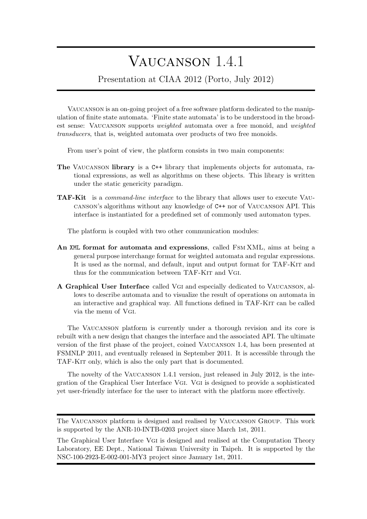## Vaucanson 1.4.1

Presentation at CIAA 2012 (Porto, July 2012)

Vaucanson is an on-going project of a free software platform dedicated to the manipulation of finite state automata. 'Finite state automata' is to be understood in the broadest sense: Vaucanson supports *weighted* automata over a free monoid, and *weighted transducers*, that is, weighted automata over products of two free monoids.

From user's point of view, the platform consists in two main components:

- **The** Vaucanson **library** is a C++ library that implements objects for automata, rational expressions, as well as algorithms on these objects. This library is written under the static genericity paradigm.
- **TAF-Kit** is a *command-line interface* to the library that allows user to execute Vaucanson's algorithms without any knowledge of C++ nor of Vaucanson API. This interface is instantiated for a predefined set of commonly used automaton types.

The platform is coupled with two other communication modules:

- **An** XML **format for automata and expressions**, called Fsm XML, aims at being a general purpose interchange format for weighted automata and regular expressions. It is used as the normal, and default, input and output format for TAF-KIT and thus for the communication between TAF-KIT and VGI.
- **A Graphical User Interface** called Vgi and especially dedicated to Vaucanson, allows to describe automata and to visualize the result of operations on automata in an interactive and graphical way. All functions defined in TAF-Kit can be called via the menu of Vgi.

The Vaucanson platform is currently under a thorough revision and its core is rebuilt with a new design that changes the interface and the associated API. The ultimate version of the first phase of the project, coined Vaucanson 1.4, has been presented at FSMNLP 2011, and eventually released in September 2011. It is accessible through the TAF-Kit only, which is also the only part that is documented.

The novelty of the Vaucanson 1.4.1 version, just released in July 2012, is the integration of the Graphical User Interface Vgi. Vgi is designed to provide a sophisticated yet user-friendly interface for the user to interact with the platform more effectively.

The Vaucanson platform is designed and realised by Vaucanson Group. This work is supported by the ANR-10-INTB-0203 project since March 1st, 2011.

The Graphical User Interface Vgi is designed and realised at the Computation Theory Laboratory, EE Dept., National Taiwan University in Taipeh. It is supported by the NSC-100-2923-E-002-001-MY3 project since January 1st, 2011.